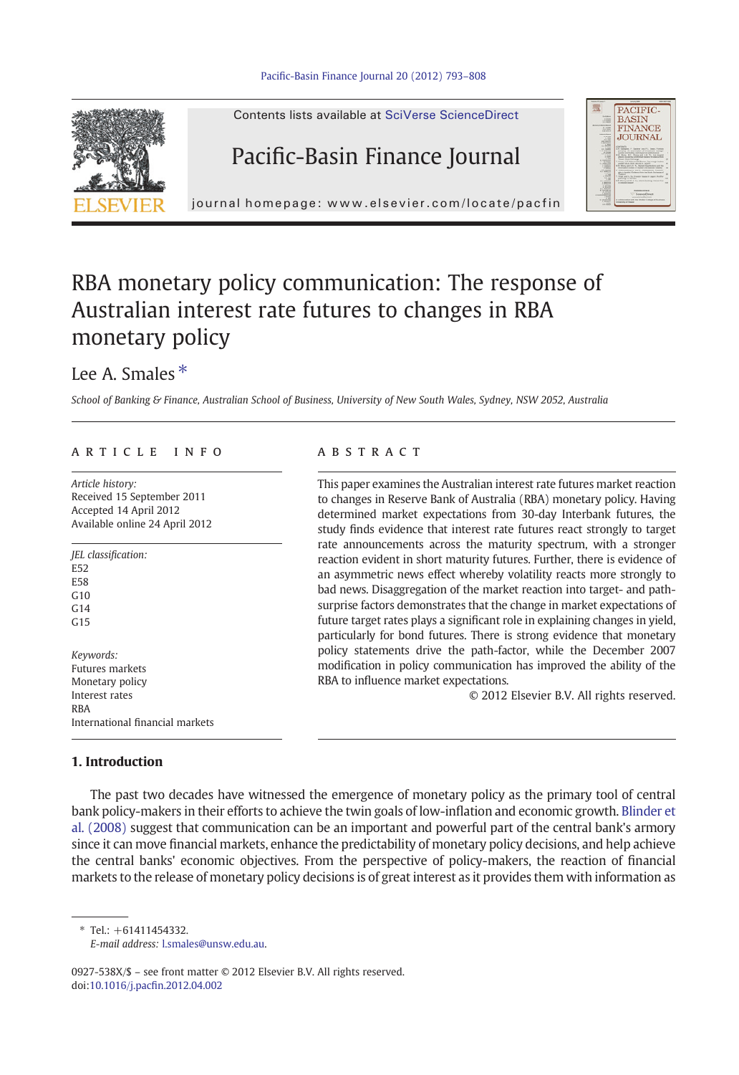



## RBA monetary policy communication: The response of Australian interest rate futures to changes in RBA monetary policy

## Lee A. Smales  $*$

School of Banking & Finance, Australian School of Business, University of New South Wales, Sydney, NSW 2052, Australia

### article info abstract

Article history: Received 15 September 2011 Accepted 14 April 2012 Available online 24 April 2012

JEL classification: E52 E58  $G10$  $G<sub>14</sub>$  $G15$ Keywords: Futures markets Monetary policy Interest rates RBA International financial markets

This paper examines the Australian interest rate futures market reaction to changes in Reserve Bank of Australia (RBA) monetary policy. Having determined market expectations from 30-day Interbank futures, the study finds evidence that interest rate futures react strongly to target rate announcements across the maturity spectrum, with a stronger reaction evident in short maturity futures. Further, there is evidence of an asymmetric news effect whereby volatility reacts more strongly to bad news. Disaggregation of the market reaction into target- and pathsurprise factors demonstrates that the change in market expectations of future target rates plays a significant role in explaining changes in yield, particularly for bond futures. There is strong evidence that monetary policy statements drive the path-factor, while the December 2007 modification in policy communication has improved the ability of the RBA to influence market expectations.

© 2012 Elsevier B.V. All rights reserved.

PACIFIC<br>BASIN

**FINANCE** JOURNAL

### 1. Introduction

The past two decades have witnessed the emergence of monetary policy as the primary tool of central bank policy-makers in their efforts to achieve the twin goals of low-inflation and economic growth. [Blinder et](#page--1-0) [al. \(2008\)](#page--1-0) suggest that communication can be an important and powerful part of the central bank's armory since it can move financial markets, enhance the predictability of monetary policy decisions, and help achieve the central banks' economic objectives. From the perspective of policy-makers, the reaction of financial markets to the release of monetary policy decisions is of great interest as it provides them with information as

 $*$  Tel:  $+61411454332$ 

E-mail address: [l.smales@unsw.edu.au.](mailto:l.smales@unsw.edu.au)

0927-538X/\$ – see front matter © 2012 Elsevier B.V. All rights reserved. doi:10.1016/j.pacfi[n.2012.04.002](http://dx.doi.org/10.1016/j.pacfin.2012.04.002)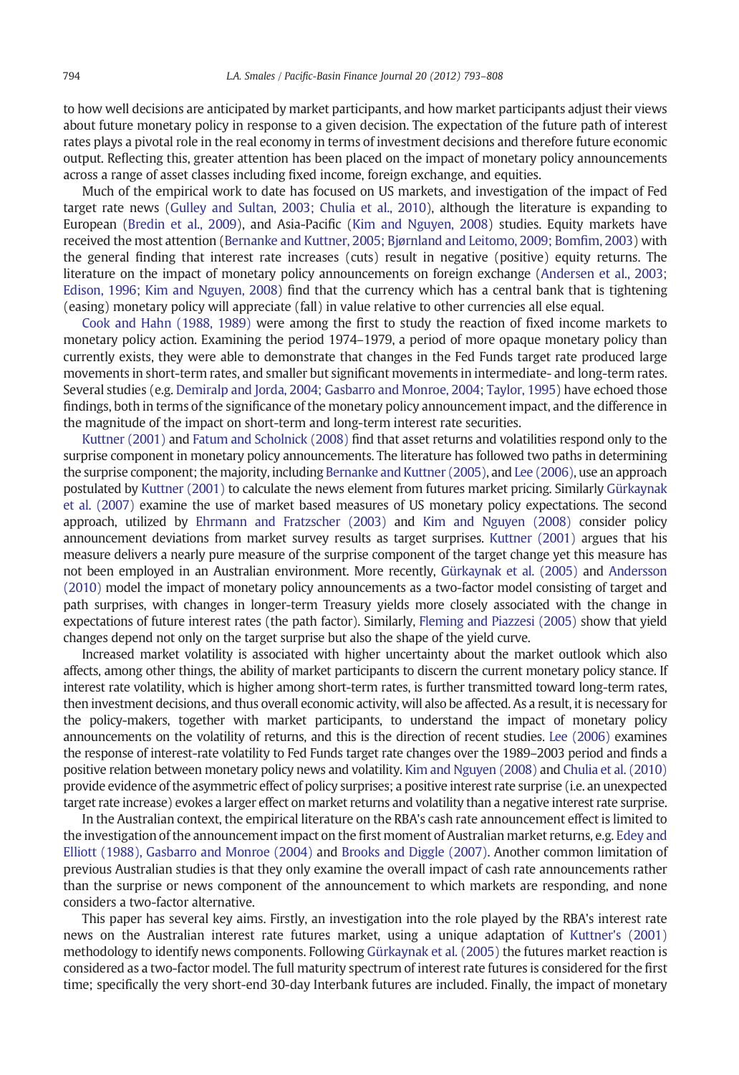to how well decisions are anticipated by market participants, and how market participants adjust their views about future monetary policy in response to a given decision. The expectation of the future path of interest rates plays a pivotal role in the real economy in terms of investment decisions and therefore future economic output. Reflecting this, greater attention has been placed on the impact of monetary policy announcements across a range of asset classes including fixed income, foreign exchange, and equities.

Much of the empirical work to date has focused on US markets, and investigation of the impact of Fed target rate news ([Gulley and Sultan, 2003; Chulia et al., 2010\)](#page--1-0), although the literature is expanding to European [\(Bredin et al., 2009\)](#page--1-0), and Asia-Pacific [\(Kim and Nguyen, 2008](#page--1-0)) studies. Equity markets have received the most attention [\(Bernanke and Kuttner, 2005; Bjørnland and Leitomo, 2009; Bom](#page--1-0)fim, 2003) with the general finding that interest rate increases (cuts) result in negative (positive) equity returns. The literature on the impact of monetary policy announcements on foreign exchange ([Andersen et al., 2003;](#page--1-0) [Edison, 1996; Kim and Nguyen, 2008\)](#page--1-0) find that the currency which has a central bank that is tightening (easing) monetary policy will appreciate (fall) in value relative to other currencies all else equal.

[Cook and Hahn \(1988, 1989\)](#page--1-0) were among the first to study the reaction of fixed income markets to monetary policy action. Examining the period 1974–1979, a period of more opaque monetary policy than currently exists, they were able to demonstrate that changes in the Fed Funds target rate produced large movements in short-term rates, and smaller but significant movements in intermediate- and long-term rates. Several studies (e.g. [Demiralp and Jorda, 2004; Gasbarro and Monroe, 2004; Taylor, 1995](#page--1-0)) have echoed those findings, both in terms of the significance of the monetary policy announcement impact, and the difference in the magnitude of the impact on short-term and long-term interest rate securities.

[Kuttner \(2001\)](#page--1-0) and [Fatum and Scholnick \(2008\)](#page--1-0) find that asset returns and volatilities respond only to the surprise component in monetary policy announcements. The literature has followed two paths in determining the surprise component; the majority, including [Bernanke and Kuttner \(2005\)](#page--1-0), and [Lee \(2006\)](#page--1-0), use an approach postulated by [Kuttner \(2001\)](#page--1-0) to calculate the news element from futures market pricing. Similarly [Gürkaynak](#page--1-0) [et al. \(2007\)](#page--1-0) examine the use of market based measures of US monetary policy expectations. The second approach, utilized by [Ehrmann and Fratzscher \(2003\)](#page--1-0) and [Kim and Nguyen \(2008\)](#page--1-0) consider policy announcement deviations from market survey results as target surprises. [Kuttner \(2001\)](#page--1-0) argues that his measure delivers a nearly pure measure of the surprise component of the target change yet this measure has not been employed in an Australian environment. More recently, [Gürkaynak et al. \(2005\)](#page--1-0) and [Andersson](#page--1-0) [\(2010\)](#page--1-0) model the impact of monetary policy announcements as a two-factor model consisting of target and path surprises, with changes in longer-term Treasury yields more closely associated with the change in expectations of future interest rates (the path factor). Similarly, [Fleming and Piazzesi \(2005\)](#page--1-0) show that yield changes depend not only on the target surprise but also the shape of the yield curve.

Increased market volatility is associated with higher uncertainty about the market outlook which also affects, among other things, the ability of market participants to discern the current monetary policy stance. If interest rate volatility, which is higher among short-term rates, is further transmitted toward long-term rates, then investment decisions, and thus overall economic activity, will also be affected. As a result, it is necessary for the policy-makers, together with market participants, to understand the impact of monetary policy announcements on the volatility of returns, and this is the direction of recent studies. [Lee \(2006\)](#page--1-0) examines the response of interest-rate volatility to Fed Funds target rate changes over the 1989–2003 period and finds a positive relation between monetary policy news and volatility. [Kim and Nguyen \(2008\)](#page--1-0) and [Chulia et al. \(2010\)](#page--1-0) provide evidence of the asymmetric effect of policy surprises; a positive interest rate surprise (i.e. an unexpected target rate increase) evokes a larger effect on market returns and volatility than a negative interest rate surprise.

In the Australian context, the empirical literature on the RBA's cash rate announcement effect is limited to the investigation of the announcement impact on the first moment of Australian market returns, e.g. [Edey and](#page--1-0) [Elliott \(1988\), Gasbarro and Monroe \(2004\)](#page--1-0) and [Brooks and Diggle \(2007\).](#page--1-0) Another common limitation of previous Australian studies is that they only examine the overall impact of cash rate announcements rather than the surprise or news component of the announcement to which markets are responding, and none considers a two-factor alternative.

This paper has several key aims. Firstly, an investigation into the role played by the RBA's interest rate news on the Australian interest rate futures market, using a unique adaptation of [Kuttner's \(2001\)](#page--1-0) methodology to identify news components. Following [Gürkaynak et al. \(2005\)](#page--1-0) the futures market reaction is considered as a two-factor model. The full maturity spectrum of interest rate futures is considered for the first time; specifically the very short-end 30-day Interbank futures are included. Finally, the impact of monetary